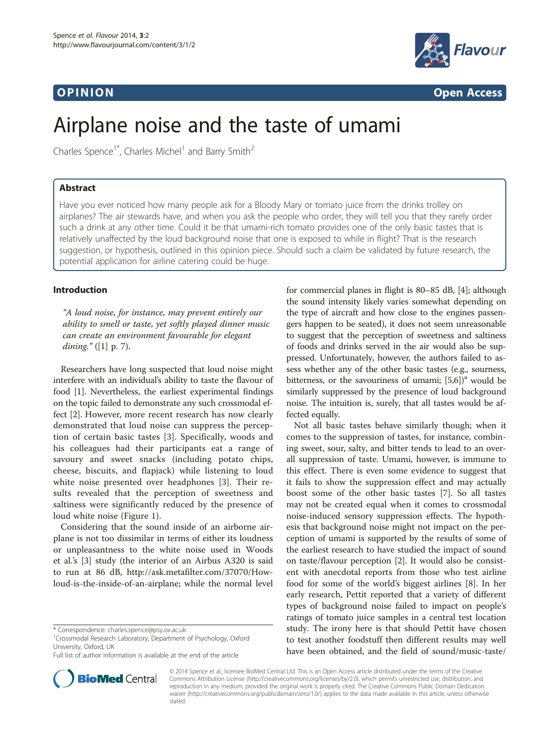

**OPINION** CONSIDERED AT A CONSIDERED ASSESSED AND THE OPEN ACCESS OPEN ACCESS OPEN ACCESS

# Airplane noise and the taste of umami

Charles Spence<sup>1\*</sup>, Charles Michel<sup>1</sup> and Barry Smith<sup>2</sup>

# Abstract

Have you ever noticed how many people ask for a Bloody Mary or tomato juice from the drinks trolley on airplanes? The air stewards have, and when you ask the people who order, they will tell you that they rarely order such a drink at any other time. Could it be that umami-rich tomato provides one of the only basic tastes that is relatively unaffected by the loud background noise that one is exposed to while in flight? That is the research suggestion, or hypothesis, outlined in this opinion piece. Should such a claim be validated by future research, the potential application for airline catering could be huge.

# Introduction

"A loud noise, for instance, may prevent entirely our ability to smell or taste, yet softly played dinner music can create an environment favourable for elegant dining." ([1] p. 7).

Researchers have long suspected that loud noise might interfere with an individual's ability to taste the flavour of food [[1\]](#page-3-0). Nevertheless, the earliest experimental findings on the topic failed to demonstrate any such crossmodal effect [\[2](#page-3-0)]. However, more recent research has now clearly demonstrated that loud noise can suppress the perception of certain basic tastes [[3\]](#page-3-0). Specifically, woods and his colleagues had their participants eat a range of savoury and sweet snacks (including potato chips, cheese, biscuits, and flapjack) while listening to loud white noise presented over headphones [[3](#page-3-0)]. Their results revealed that the perception of sweetness and saltiness were significantly reduced by the presence of loud white noise (Figure [1\)](#page-1-0).

Considering that the sound inside of an airborne airplane is not too dissimilar in terms of either its loudness or unpleasantness to the white noise used in Woods et al.'s [\[3](#page-3-0)] study (the interior of an Airbus A320 is said to run at 86 dB, [http://ask.metafilter.com/37070/How](http://ask.metafilter.com/37070/How-loud-is-the-inside-of-an-airplane)[loud-is-the-inside-of-an-airplane](http://ask.metafilter.com/37070/How-loud-is-the-inside-of-an-airplane); while the normal level



Not all basic tastes behave similarly though; when it comes to the suppression of tastes, for instance, combining sweet, sour, salty, and bitter tends to lead to an overall suppression of taste. Umami, however, is immune to this effect. There is even some evidence to suggest that it fails to show the suppression effect and may actually boost some of the other basic tastes [\[7](#page-3-0)]. So all tastes may not be created equal when it comes to crossmodal noise-induced sensory suppression effects. The hypothesis that background noise might not impact on the perception of umami is supported by the results of some of the earliest research to have studied the impact of sound on taste/flavour perception [[2\]](#page-3-0). It would also be consistent with anecdotal reports from those who test airline food for some of the world's biggest airlines [\[8](#page-3-0)]. In her early research, Pettit reported that a variety of different types of background noise failed to impact on people's ratings of tomato juice samples in a central test location study. The irony here is that should Pettit have chosen to test another foodstuff then different results may well have been obtained, and the field of sound/music-taste/



© 2014 Spence et al.; licensee BioMed Central Ltd. This is an Open Access article distributed under the terms of the Creative Commons Attribution License [\(http://creativecommons.org/licenses/by/2.0\)](http://www.independent.co.uk/news/science/science-finds-the-plane-truth-about-inflight-meals-2107130.html), which permits unrestricted use, distribution, and reproduction in any medium, provided the original work is properly cited. The Creative Commons Public Domain Dedication waiver [\(http://creativecommons.org/publicdomain/zero/1.0/\)](http://creativecommons.org/publicdomain/zero/1.0/) applies to the data made available in this article, unless otherwise stated.

<sup>\*</sup> Correspondence: [charles.spence@psy.ox.ac.uk](mailto:charles.spence@psy.ox.ac.uk) <sup>1</sup>

<sup>&</sup>lt;sup>1</sup> Crossmodal Research Laboratory, Department of Psychology, Oxford University, Oxford, UK

Full list of author information is available at the end of the article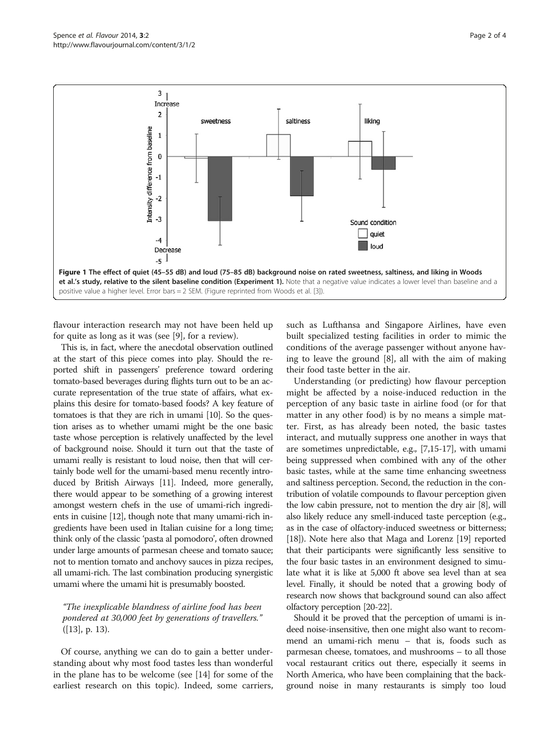<span id="page-1-0"></span>

flavour interaction research may not have been held up for quite as long as it was (see [[9\]](#page-3-0), for a review).

This is, in fact, where the anecdotal observation outlined at the start of this piece comes into play. Should the reported shift in passengers' preference toward ordering tomato-based beverages during flights turn out to be an accurate representation of the true state of affairs, what explains this desire for tomato-based foods? A key feature of tomatoes is that they are rich in umami [\[10\]](#page-3-0). So the question arises as to whether umami might be the one basic taste whose perception is relatively unaffected by the level of background noise. Should it turn out that the taste of umami really is resistant to loud noise, then that will certainly bode well for the umami-based menu recently introduced by British Airways [\[11\]](#page-3-0). Indeed, more generally, there would appear to be something of a growing interest amongst western chefs in the use of umami-rich ingredients in cuisine [\[12\]](#page-3-0), though note that many umami-rich ingredients have been used in Italian cuisine for a long time; think only of the classic 'pasta al pomodoro', often drowned under large amounts of parmesan cheese and tomato sauce; not to mention tomato and anchovy sauces in pizza recipes, all umami-rich. The last combination producing synergistic umami where the umami hit is presumably boosted.

# "The inexplicable blandness of airline food has been pondered at 30,000 feet by generations of travellers." ([[13\]](#page-3-0), p. 13).

Of course, anything we can do to gain a better understanding about why most food tastes less than wonderful in the plane has to be welcome (see [[14\]](#page-3-0) for some of the earliest research on this topic). Indeed, some carriers,

such as Lufthansa and Singapore Airlines, have even built specialized testing facilities in order to mimic the conditions of the average passenger without anyone having to leave the ground [\[8\]](#page-3-0), all with the aim of making their food taste better in the air.

Understanding (or predicting) how flavour perception might be affected by a noise-induced reduction in the perception of any basic taste in airline food (or for that matter in any other food) is by no means a simple matter. First, as has already been noted, the basic tastes interact, and mutually suppress one another in ways that are sometimes unpredictable, e.g., [\[7,15-17](#page-3-0)], with umami being suppressed when combined with any of the other basic tastes, while at the same time enhancing sweetness and saltiness perception. Second, the reduction in the contribution of volatile compounds to flavour perception given the low cabin pressure, not to mention the dry air [[8](#page-3-0)], will also likely reduce any smell-induced taste perception (e.g., as in the case of olfactory-induced sweetness or bitterness; [[18](#page-3-0)]). Note here also that Maga and Lorenz [[19](#page-3-0)] reported that their participants were significantly less sensitive to the four basic tastes in an environment designed to simulate what it is like at 5,000 ft above sea level than at sea level. Finally, it should be noted that a growing body of research now shows that background sound can also affect olfactory perception [\[20-22\]](#page-3-0).

Should it be proved that the perception of umami is indeed noise-insensitive, then one might also want to recommend an umami-rich menu – that is, foods such as parmesan cheese, tomatoes, and mushrooms – to all those vocal restaurant critics out there, especially it seems in North America, who have been complaining that the background noise in many restaurants is simply too loud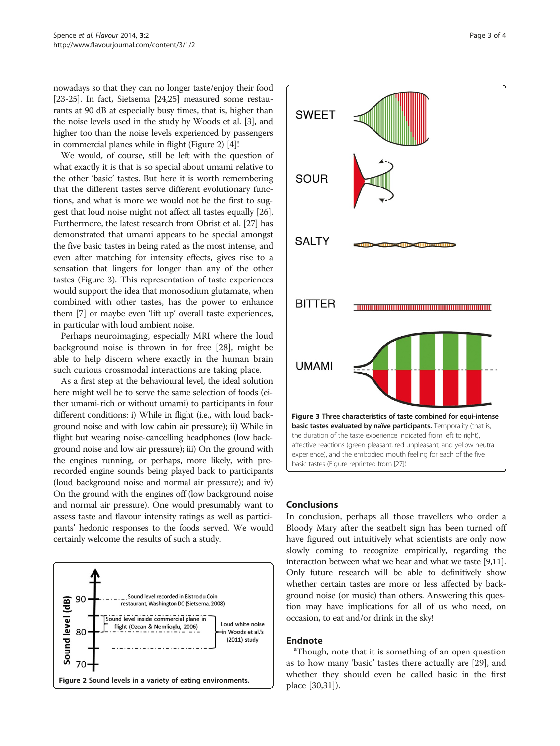nowadays so that they can no longer taste/enjoy their food [[23](#page-3-0)-[25](#page-3-0)]. In fact, Sietsema [\[24,25\]](#page-3-0) measured some restaurants at 90 dB at especially busy times, that is, higher than the noise levels used in the study by Woods et al. [[3\]](#page-3-0), and higher too than the noise levels experienced by passengers in commercial planes while in flight (Figure 2) [\[4](#page-3-0)]!

We would, of course, still be left with the question of what exactly it is that is so special about umami relative to the other 'basic' tastes. But here it is worth remembering that the different tastes serve different evolutionary functions, and what is more we would not be the first to suggest that loud noise might not affect all tastes equally [[26](#page-3-0)]. Furthermore, the latest research from Obrist et al. [[27](#page-3-0)] has demonstrated that umami appears to be special amongst the five basic tastes in being rated as the most intense, and even after matching for intensity effects, gives rise to a sensation that lingers for longer than any of the other tastes (Figure 3). This representation of taste experiences would support the idea that monosodium glutamate, when combined with other tastes, has the power to enhance them [[7\]](#page-3-0) or maybe even 'lift up' overall taste experiences, in particular with loud ambient noise.

Perhaps neuroimaging, especially MRI where the loud background noise is thrown in for free [[28\]](#page-3-0), might be able to help discern where exactly in the human brain such curious crossmodal interactions are taking place.

As a first step at the behavioural level, the ideal solution here might well be to serve the same selection of foods (either umami-rich or without umami) to participants in four different conditions: i) While in flight (i.e., with loud background noise and with low cabin air pressure); ii) While in flight but wearing noise-cancelling headphones (low background noise and low air pressure); iii) On the ground with the engines running, or perhaps, more likely, with prerecorded engine sounds being played back to participants (loud background noise and normal air pressure); and iv) On the ground with the engines off (low background noise and normal air pressure). One would presumably want to assess taste and flavour intensity ratings as well as participants' hedonic responses to the foods served. We would certainly welcome the results of such a study.





# **Conclusions**

In conclusion, perhaps all those travellers who order a Bloody Mary after the seatbelt sign has been turned off have figured out intuitively what scientists are only now slowly coming to recognize empirically, regarding the interaction between what we hear and what we taste [\[9,11](#page-3-0)]. Only future research will be able to definitively show whether certain tastes are more or less affected by background noise (or music) than others. Answering this question may have implications for all of us who need, on occasion, to eat and/or drink in the sky!

# **Endnote**

<sup>a</sup>Though, note that it is something of an open question as to how many 'basic' tastes there actually are [\[29\]](#page-3-0), and whether they should even be called basic in the first